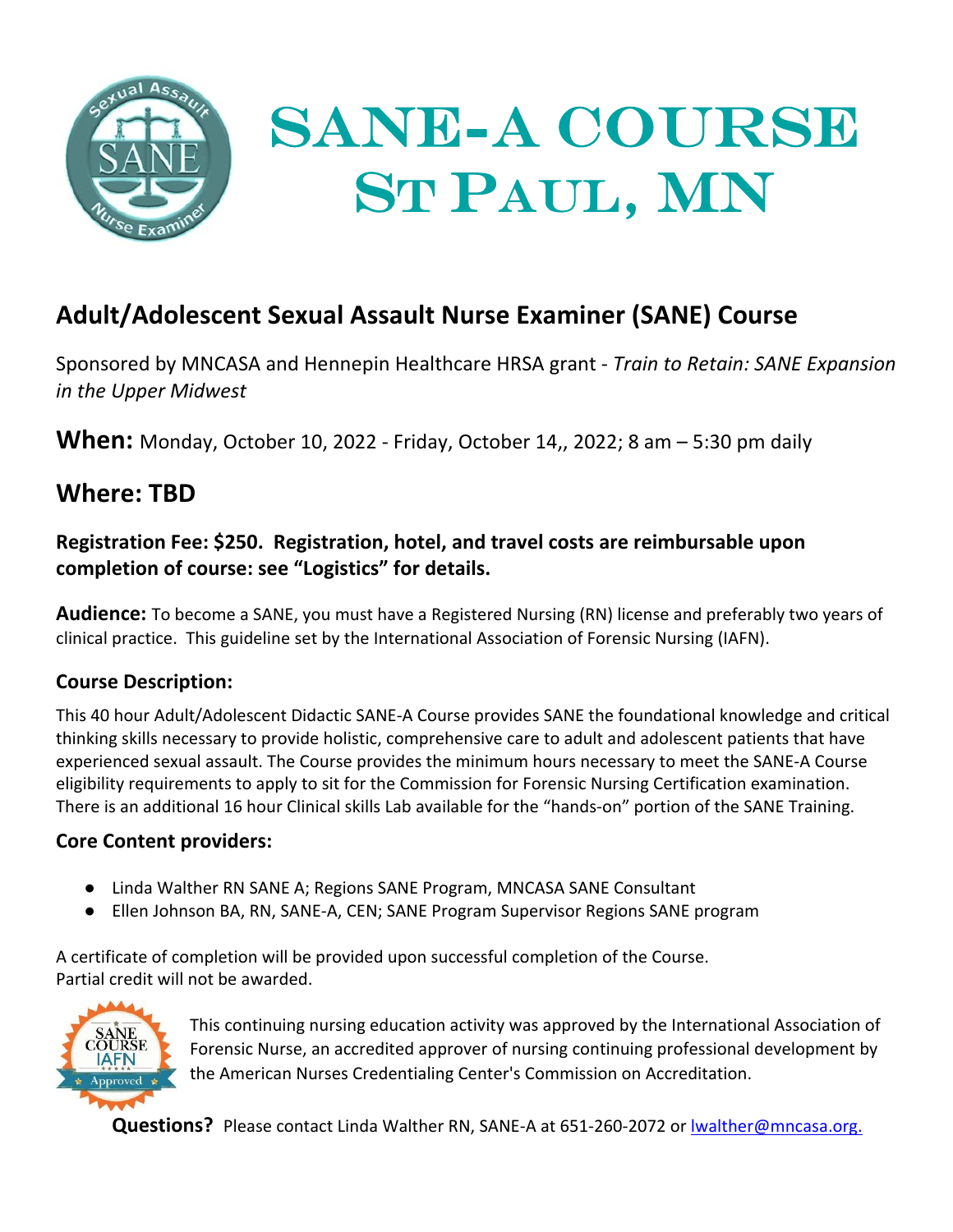

# **Adult/Adolescent Sexual Assault Nurse Examiner (SANE) Course**

Sponsored by MNCASA and Hennepin Healthcare HRSA grant ‐ *Train to Retain: SANE Expansion in the Upper Midwest*

**When:** Monday, October 10, 2022 ‐ Friday, October 14,, 2022; 8 am – 5:30 pm daily

## **Where: TBD**

**Registration Fee: \$250. Registration, hotel, and travel costs are reimbursable upon completion of course: see "Logistics" for details.** 

**Audience:** To become a SANE, you must have a Registered Nursing (RN) license and preferably two years of clinical practice. This guideline set by the International Association of Forensic Nursing (IAFN).

## **Course Description:**

This 40 hour Adult/Adolescent Didactic SANE‐A Course provides SANE the foundational knowledge and critical thinking skills necessary to provide holistic, comprehensive care to adult and adolescent patients that have experienced sexual assault. The Course provides the minimum hours necessary to meet the SANE‐A Course eligibility requirements to apply to sit for the Commission for Forensic Nursing Certification examination. There is an additional 16 hour Clinical skills Lab available for the "hands‐on" portion of the SANE Training.

## **Core Content providers:**

- Linda Walther RN SANE A; Regions SANE Program, MNCASA SANE Consultant
- Ellen Johnson BA, RN, SANE‐A, CEN; SANE Program Supervisor Regions SANE program

A certificate of completion will be provided upon successful completion of the Course. Partial credit will not be awarded.



This continuing nursing education activity was approved by the International Association of Forensic Nurse, an accredited approver of nursing continuing professional development by the American Nurses Credentialing Center's Commission on Accreditation.

Questions? Please contact Linda Walther RN, SANE-A at 651-260-2072 or lwalther@mncasa.org.